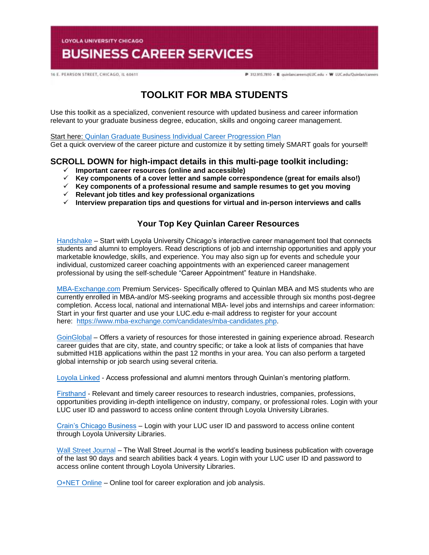**LOYOLA UNIVERSITY CHICAGO** 

# **BUSINESS CAREER SERVICES**

16 E. PEARSON STREET, CHICAGO, IL 60611

P 312.915.7810 - E quinlancareers@LUC.edu - W LUC.edu/Quinlan/careers

## **[TOOLKIT FOR MBA STUDENTS](https://www.luc.edu/media/lucedu/quinlan-businesscareerservices/pdfs/2020%20Quinlan%20Graduate%20Business%20Individual%20Career%20Progression%20Plan.pdf)**

Use this toolkit as a specialized, convenient resource with updated business and career information relevant to your graduate business degree, education, skills and ongoing career management.

Start here: Quinlan Graduate Business Individual Career Progression Plan Get a quick overview of the career picture and customize it by setting timely SMART goals for yourself!

## **SCROLL DOWN for high-impact details in this multi-page toolkit including:**

- **Important career resources (online and accessible)**
- **Key components of a cover letter and sample correspondence (great for emails also!)**
- **Key components of a professional resume and sample resumes to get you moving**
- **Relevant job titles and key professional organizations**
- **Interview preparation tips and questions for virtual and in-person interviews and calls**

## **Your Top Key Quinlan Career Resources**

[Handshake](https://luc.joinhandshake.com/login) – Start with Loyola University Chicago's interactive career management tool that connects students and alumni to employers. Read descriptions of job and internship opportunities and apply your marketable knowledge, skills, and experience. You may also sign up for events and schedule your individual, customized career coaching appointments with an experienced career management professional by using the self-schedule "Career Appointment" feature in Handshake.

[MBA-Exchange.com](https://www.luc.edu/quinlan/careers/studentservices/job-search/) Premium Services- Specifically offered to Quinlan MBA and MS students who are currently enrolled in MBA-and/or MS-seeking programs and accessible through six months post-degree completion. Access local, national and international MBA- level jobs and internships and career information: Start in your first quarter and use your LUC.edu e-mail address to register for your account here: [https://www.mba-exchange.com/candidates/mba-candidates.php.](http://email.mail.joinhandshake.com/c/eJxFkN1uhCAQhZ9G75YgIOIFFzaNL9AHMAjTlV1-jGDs4xfttk3mZr6Tc2ZyjBRCz6K2kmCCMSe84W3bYNSgQQyUF4C7caBvTVcx7JV16BFtWFQwaVFPQDr6epGfDCgHMxPWEo2V6ATue2hAi45RwVnt5JLzmio6VGQscxwH8rO6wZcuWfcrp2Bdcq1RGVJZTv0foHVZKzq6uFX0nVWE79lPKe6bhgK8Smk634PtJXkwdvdFghO_oI4hQ8iFcix69hujlV-VvYfC92CnrLY7ZDDTZU31Jh8JnEulAbdrBGavs-wZvn3oJUZX_7UxXW9crska-XPjGw06c3I?lor=5&utm_source=mass_mailer&utm_medium=email&utm_content=608944&utm_campaign=uni_targeted_emails) 

[GoinGloba](https://online.goinglobal.com/)l – Offers a variety of resources for those interested in gaining experience abroad. Research career guides that are city, state, and country specific; or take a look at lists of companies that have submitted H1B applications within the past 12 months in your area. You can also perform a targeted global internship or job search using several criteria.

[Loyola](https://mentors.luc.edu/) Linked - Access professional and alumni mentors through Quinlan's mentoring platform.

[Firsthand](https://login.flagship.luc.edu/login?qurl=https%3a%2f%2faccess.vault.com%2fcareer-insider-login.aspx%3faid%3d256866) - Relevant and timely career resources to research industries, companies, professions, opportunities providing in-depth intelligence on industry, company, or professional roles. Login with your LUC user ID and password to access online content through Loyola University Libraries.

[Crain's Chicago Busines](https://loyola-primo.hosted.exlibrisgroup.com/primo-explore/fulldisplay?docid=01LUC_ALMA2180212020002506&vid=01LUC&search_scope=Library_Collections&tab=jsearch_slot&lang=en_US&context=L)s – Login with your LUC user ID and password to access online content through Loyola University Libraries.

[Wall Street Journa](http://libraries.luc.edu/databases/database/858)l – The Wall Street Journal is the world's leading business publication with coverage of the last 90 days and search abilities back 4 years. Login with your LUC user ID and password to access online content through Loyola University Libraries.

 $O*NET$  Online – Online tool for career exploration and job analysis.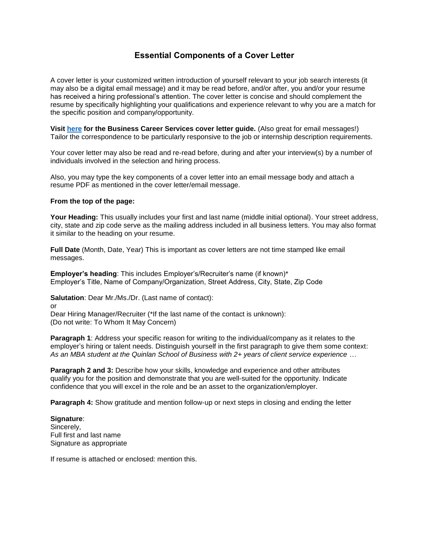## **Essential Components of a Cover Letter**

A cover letter is your customized written introduction of yourself relevant to your job search interests (it may also be a digital email message) and it may be read before, and/or after, you and/or your resume has received a hiring professional's attention. The cover letter is concise and should complement the resume by specifically highlighting your qualifications and experience relevant to why you are a match for the specific position and company/opportunity.

**Visit [here](https://www.luc.edu/media/lucedu/quinlan-businesscareerservices/Cover%20Letter%20Guidelines.pdf) for the Business Career Services cover letter guide.** (Also great for email messages!) Tailor the correspondence to be particularly responsive to the job or internship description requirements.

Your cover letter may also be read and re-read before, during and after your interview(s) by a number of individuals involved in the selection and hiring process.

Also, you may type the key components of a cover letter into an email message body and attach a resume PDF as mentioned in the cover letter/email message.

#### **From the top of the page:**

**Your Heading:** This usually includes your first and last name (middle initial optional). Your street address, city, state and zip code serve as the mailing address included in all business letters. You may also format it similar to the heading on your resume.

**Full Date** (Month, Date, Year) This is important as cover letters are not time stamped like email messages.

**Employer's heading**: This includes Employer's/Recruiter's name (if known)\* Employer's Title, Name of Company/Organization, Street Address, City, State, Zip Code

**Salutation**: Dear Mr./Ms./Dr. (Last name of contact):

or

Dear Hiring Manager/Recruiter (\*If the last name of the contact is unknown): (Do not write: To Whom It May Concern)

**Paragraph 1:** Address your specific reason for writing to the individual/company as it relates to the employer's hiring or talent needs. Distinguish yourself in the first paragraph to give them some context: *As an MBA student at the Quinlan School of Business with 2+ years of client service experience …*

**Paragraph 2 and 3:** Describe how your skills, knowledge and experience and other attributes qualify you for the position and demonstrate that you are well-suited for the opportunity. Indicate confidence that you will excel in the role and be an asset to the organization/employer.

**Paragraph 4:** Show gratitude and mention follow-up or next steps in closing and ending the letter

**Signature**: Sincerely, Full first and last name Signature as appropriate

If resume is attached or enclosed: mention this.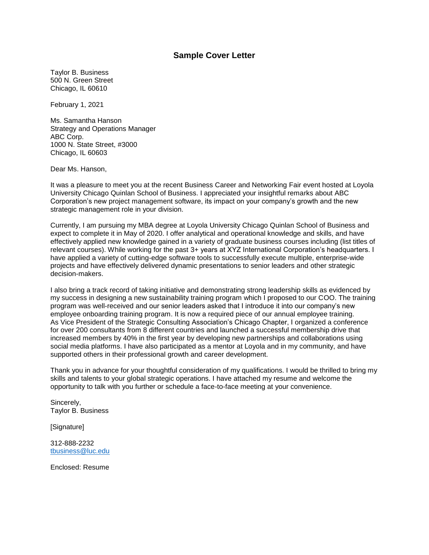## **Sample Cover Letter**

Taylor B. Business 500 N. Green Street Chicago, IL 60610

February 1, 2021

Ms. Samantha Hanson Strategy and Operations Manager ABC Corp. 1000 N. State Street, #3000 Chicago, IL 60603

Dear Ms. Hanson,

It was a pleasure to meet you at the recent Business Career and Networking Fair event hosted at Loyola University Chicago Quinlan School of Business. I appreciated your insightful remarks about ABC Corporation's new project management software, its impact on your company's growth and the new strategic management role in your division.

Currently, I am pursuing my MBA degree at Loyola University Chicago Quinlan School of Business and expect to complete it in May of 2020. I offer analytical and operational knowledge and skills, and have effectively applied new knowledge gained in a variety of graduate business courses including (list titles of relevant courses). While working for the past 3+ years at XYZ International Corporation's headquarters. I have applied a variety of cutting-edge software tools to successfully execute multiple, enterprise-wide projects and have effectively delivered dynamic presentations to senior leaders and other strategic decision-makers.

I also bring a track record of taking initiative and demonstrating strong leadership skills as evidenced by my success in designing a new sustainability training program which I proposed to our COO. The training program was well-received and our senior leaders asked that I introduce it into our company's new employee onboarding training program. It is now a required piece of our annual employee training. As Vice President of the Strategic Consulting Association's Chicago Chapter, I organized a conference for over 200 consultants from 8 different countries and launched a successful membership drive that increased members by 40% in the first year by developing new partnerships and collaborations using social media platforms. I have also participated as a mentor at Loyola and in my community, and have supported others in their professional growth and career development.

Thank you in advance for your thoughtful consideration of my qualifications. I would be thrilled to bring my skills and talents to your global strategic operations. I have attached my resume and welcome the opportunity to talk with you further or schedule a face-to-face meeting at your convenience.

Sincerely, Taylor B. Business

[Signature]

312-888-2232 [tbusiness@luc.edu](mailto:tbusiness@luc.edu)

Enclosed: Resume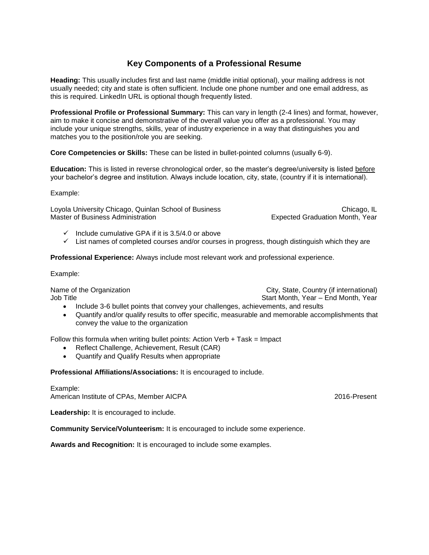## **Key Components of a Professional Resume**

**Heading:** This usually includes first and last name (middle initial optional), your mailing address is not usually needed; city and state is often sufficient. Include one phone number and one email address, as this is required. LinkedIn URL is optional though frequently listed.

**Professional Profile or Professional Summary:** This can vary in length (2-4 lines) and format, however, aim to make it concise and demonstrative of the overall value you offer as a professional. You may include your unique strengths, skills, year of industry experience in a way that distinguishes you and matches you to the position/role you are seeking.

**Core Competencies or Skills:** These can be listed in bullet-pointed columns (usually 6-9).

**Education:** This is listed in reverse chronological order, so the master's degree/university is listed before your bachelor's degree and institution. Always include location, city, state, (country if it is international).

Example:

Loyola University Chicago, Quinlan School of Business<br>Master of Business Administration Chicago, IL<br>Expected Graduation Month. Year

Expected Graduation Month, Year

- $\checkmark$  Include cumulative GPA if it is 3.5/4.0 or above
- $\checkmark$  List names of completed courses and/or courses in progress, though distinguish which they are

**Professional Experience:** Always include most relevant work and professional experience.

Example:

Job Title Start Month, Year – End Month, Year – End Month, Year – End Month, Year

Name of the Organization **City, State, Country (if international)** 

- Include 3-6 bullet points that convey your challenges, achievements, and results
- Quantify and/or qualify results to offer specific, measurable and memorable accomplishments that convey the value to the organization

Follow this formula when writing bullet points: Action Verb + Task = Impact

- Reflect Challenge, Achievement, Result (CAR)
- Quantify and Qualify Results when appropriate

**Professional Affiliations/Associations:** It is encouraged to include.

Example: American Institute of CPAs, Member AICPA 2016-Present

**Leadership:** It is encouraged to include.

**Community Service/Volunteerism:** It is encouraged to include some experience.

**Awards and Recognition:** It is encouraged to include some examples.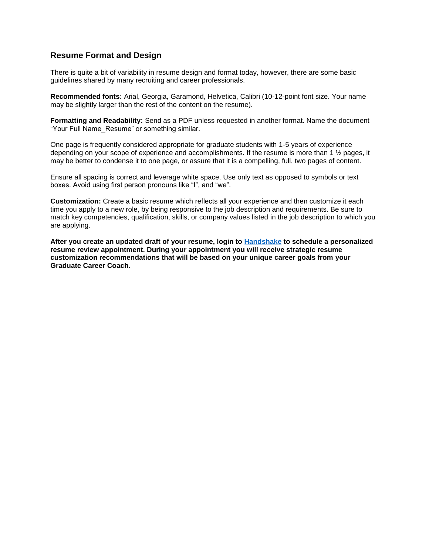## **Resume Format and Design**

There is quite a bit of variability in resume design and format today, however, there are some basic guidelines shared by many recruiting and career professionals.

**Recommended fonts:** Arial, Georgia, Garamond, Helvetica, Calibri (10-12-point font size. Your name may be slightly larger than the rest of the content on the resume).

**Formatting and Readability:** Send as a PDF unless requested in another format. Name the document "Your Full Name\_Resume" or something similar.

One page is frequently considered appropriate for graduate students with 1-5 years of experience depending on your scope of experience and accomplishments. If the resume is more than 1 ½ pages, it may be better to condense it to one page, or assure that it is a compelling, full, two pages of content.

Ensure all spacing is correct and leverage white space. Use only text as opposed to symbols or text boxes. Avoid using first person pronouns like "I", and "we".

**Customization:** Create a basic resume which reflects all your experience and then customize it each time you apply to a new role, by being responsive to the job description and requirements. Be sure to match key competencies, qualification, skills, or company values listed in the job description to which you are applying.

**After you create an updated draft of your resume, login to [Handshake](https://luc.joinhandshake.com/) to schedule a personalized resume review appointment. During your appointment you will receive strategic resume customization recommendations that will be based on your unique career goals from your Graduate Career Coach.**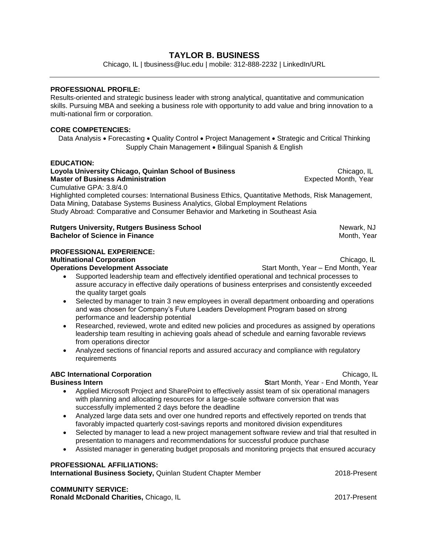## **TAYLOR B. BUSINESS**

Chicago, IL | tbusiness@luc.edu | mobile: 312-888-2232 | LinkedIn/URL

#### **PROFESSIONAL PROFILE:**

Results-oriented and strategic business leader with strong analytical, quantitative and communication skills. Pursuing MBA and seeking a business role with opportunity to add value and bring innovation to a multi-national firm or corporation.

#### **CORE COMPETENCIES:**

Data Analysis • Forecasting • Quality Control • Project Management • Strategic and Critical Thinking Supply Chain Management . Bilingual Spanish & English

#### **EDUCATION:**

**Loyola University Chicago, Quinlan School of Business Chicago, IL Chicago, IL Chicago, IL Master of Business Administration Expected Month, Year Expected Month, Year** Cumulative GPA: 3.8/4.0 Highlighted completed courses: International Business Ethics, Quantitative Methods, Risk Management, Data Mining, Database Systems Business Analytics, Global Employment Relations Study Abroad: Comparative and Consumer Behavior and Marketing in Southeast Asia

#### **Rutgers University, Rutgers Business School** Newark, NJ **Bachelor of Science in Finance**

## **PROFESSIONAL EXPERIENCE:**

#### **Multinational Corporation Multinational Corporation**

**Operations Development Associate Start Month, Year – End Month, Year – End Month, Year – End Month, Year – End Month, Year – End Month, Year – End Month, Year – End Month, Year – End Month, Year – End Month, Year – End** 

- Supported leadership team and effectively identified operational and technical processes to assure accuracy in effective daily operations of business enterprises and consistently exceeded the quality target goals
- Selected by manager to train 3 new employees in overall department onboarding and operations and was chosen for Company's Future Leaders Development Program based on strong performance and leadership potential
- Researched, reviewed, wrote and edited new policies and procedures as assigned by operations leadership team resulting in achieving goals ahead of schedule and earning favorable reviews from operations director
- Analyzed sections of financial reports and assured accuracy and compliance with regulatory requirements

## **ABC International Corporation** Chicago, IL

**Business Intern** Start Month, Year - End Month, Year - End Month, Year - End Month, Year - End Month, Year

- Applied Microsoft Project and SharePoint to effectively assist team of six operational managers with planning and allocating resources for a large-scale software conversion that was successfully implemented 2 days before the deadline
- Analyzed large data sets and over one hundred reports and effectively reported on trends that favorably impacted quarterly cost-savings reports and monitored division expenditures
- Selected by manager to lead a new project management software review and trial that resulted in presentation to managers and recommendations for successful produce purchase
- Assisted manager in generating budget proposals and monitoring projects that ensured accuracy

#### **PROFESSIONAL AFFILIATIONS:**

**International Business Society, Quinlan Student Chapter Member 2018-Present 2018-Present** 

## **COMMUNITY SERVICE:**

**Ronald McDonald Charities, Chicago, IL** 2017-Present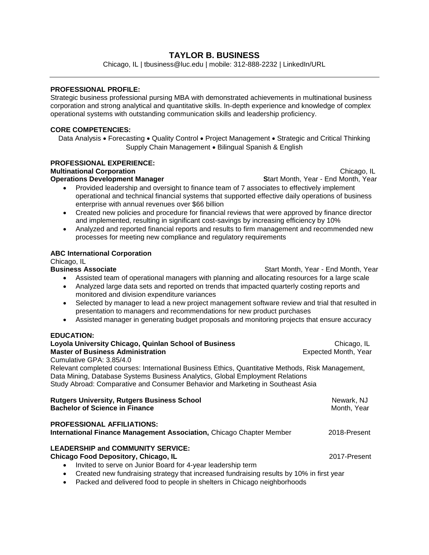## **TAYLOR B. BUSINESS**

Chicago, IL | tbusiness@luc.edu | mobile: 312-888-2232 | LinkedIn/URL

## **PROFESSIONAL PROFILE:**

Strategic business professional pursing MBA with demonstrated achievements in multinational business corporation and strong analytical and quantitative skills. In-depth experience and knowledge of complex operational systems with outstanding communication skills and leadership proficiency.

#### **CORE COMPETENCIES:**

Data Analysis • Forecasting • Quality Control • Project Management • Strategic and Critical Thinking Supply Chain Management . Bilingual Spanish & English

#### **PROFESSIONAL EXPERIENCE: Multinational Corporation** Chicago, IL

**Operations Development Manager Start Month, Year - End Month, Year - End Month, Year - End Month, Year - End Month, Year - End Month, Year - End Month, Year - End Month, Year - End Month, Year - End Month, Year - End Mont** 

- Provided leadership and oversight to finance team of 7 associates to effectively implement operational and technical financial systems that supported effective daily operations of business enterprise with annual revenues over \$66 billion
- Created new policies and procedure for financial reviews that were approved by finance director and implemented, resulting in significant cost-savings by increasing efficiency by 10%
- Analyzed and reported financial reports and results to firm management and recommended new processes for meeting new compliance and regulatory requirements

## **ABC International Corporation**

Chicago, IL<br>Business Associate

Start Month, Year - End Month, Year

- Assisted team of operational managers with planning and allocating resources for a large scale
- Analyzed large data sets and reported on trends that impacted quarterly costing reports and monitored and division expenditure variances
- Selected by manager to lead a new project management software review and trial that resulted in presentation to managers and recommendations for new product purchases
- Assisted manager in generating budget proposals and monitoring projects that ensure accuracy

## **EDUCATION:**

| Loyola University Chicago, Quinlan School of Business                                                                                                                                                                                                                 | Chicago, IL               |
|-----------------------------------------------------------------------------------------------------------------------------------------------------------------------------------------------------------------------------------------------------------------------|---------------------------|
| <b>Master of Business Administration</b>                                                                                                                                                                                                                              | Expected Month, Year      |
| Cumulative GPA: 3.85/4.0                                                                                                                                                                                                                                              |                           |
| Relevant completed courses: International Business Ethics, Quantitative Methods, Risk Management,<br>Data Mining, Database Systems Business Analytics, Global Employment Relations<br>Study Abroad: Comparative and Consumer Behavior and Marketing in Southeast Asia |                           |
| <b>Rutgers University, Rutgers Business School</b><br><b>Bachelor of Science in Finance</b>                                                                                                                                                                           | Newark, NJ<br>Month, Year |
| <b>PROFESSIONAL AFFILIATIONS:</b><br><b>International Finance Management Association, Chicago Chapter Member</b>                                                                                                                                                      | 2018-Present              |
| <b>LEADERSHIP and COMMUNITY SERVICE:</b><br><b>Chicago Food Depository, Chicago, IL</b><br>Invited to serve on Junior Board for 4-year leadership term<br>$\bullet$                                                                                                   | 2017-Present              |
| Created new fundraising strategy that increased fundraising results by 10% in first year<br>$\bullet$<br>Da alia di anchi dalli izazi di fanidi fana anche la rabaltana lui Obliganzi ni stabili antara dal                                                           |                           |

Packed and delivered food to people in shelters in Chicago neighborhoods